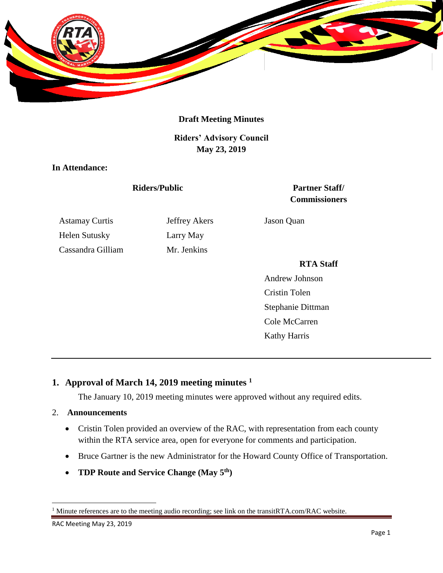

## **Draft Meeting Minutes**

**Riders' Advisory Council May 23, 2019**

**In Attendance:**

Astamay Curtis **Jeffrey Akers** Jason Quan Helen Sutusky Larry May Cassandra Gilliam Mr. Jenkins

**Riders/Public Partner Staff/ Commissioners**

#### **RTA Staff**

Andrew Johnson Cristin Tolen Stephanie Dittman Cole McCarren Kathy Harris

# **1. Approval of March 14, 2019 meeting minutes <sup>1</sup>**

The January 10, 2019 meeting minutes were approved without any required edits.

#### 2. **Announcements**

- Cristin Tolen provided an overview of the RAC, with representation from each county within the RTA service area, open for everyone for comments and participation.
- Bruce Gartner is the new Administrator for the Howard County Office of Transportation.
- **TDP Route and Service Change (May 5th)**

 $\overline{a}$ 

<sup>&</sup>lt;sup>1</sup> Minute references are to the meeting audio recording; see link on the transitRTA.com/RAC website.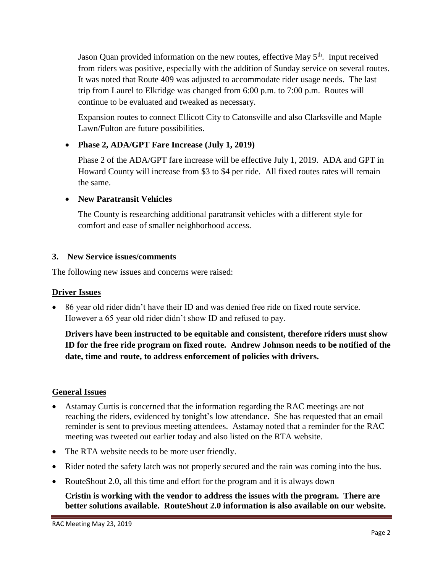Jason Quan provided information on the new routes, effective May 5<sup>th</sup>. Input received from riders was positive, especially with the addition of Sunday service on several routes. It was noted that Route 409 was adjusted to accommodate rider usage needs. The last trip from Laurel to Elkridge was changed from 6:00 p.m. to 7:00 p.m. Routes will continue to be evaluated and tweaked as necessary.

Expansion routes to connect Ellicott City to Catonsville and also Clarksville and Maple Lawn/Fulton are future possibilities.

# **Phase 2, ADA/GPT Fare Increase (July 1, 2019)**

Phase 2 of the ADA/GPT fare increase will be effective July 1, 2019. ADA and GPT in Howard County will increase from \$3 to \$4 per ride. All fixed routes rates will remain the same.

# **New Paratransit Vehicles**

The County is researching additional paratransit vehicles with a different style for comfort and ease of smaller neighborhood access.

# **3. New Service issues/comments**

The following new issues and concerns were raised:

# **Driver Issues**

 86 year old rider didn't have their ID and was denied free ride on fixed route service. However a 65 year old rider didn't show ID and refused to pay.

**Drivers have been instructed to be equitable and consistent, therefore riders must show ID for the free ride program on fixed route. Andrew Johnson needs to be notified of the date, time and route, to address enforcement of policies with drivers.** 

# **General Issues**

- Astamay Curtis is concerned that the information regarding the RAC meetings are not reaching the riders, evidenced by tonight's low attendance. She has requested that an email reminder is sent to previous meeting attendees. Astamay noted that a reminder for the RAC meeting was tweeted out earlier today and also listed on the RTA website.
- The RTA website needs to be more user friendly.
- Rider noted the safety latch was not properly secured and the rain was coming into the bus.
- RouteShout 2.0, all this time and effort for the program and it is always down

**Cristin is working with the vendor to address the issues with the program. There are better solutions available. RouteShout 2.0 information is also available on our website.**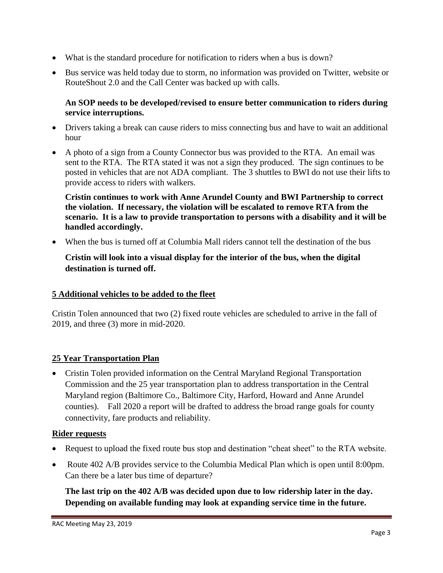- What is the standard procedure for notification to riders when a bus is down?
- Bus service was held today due to storm, no information was provided on Twitter, website or RouteShout 2.0 and the Call Center was backed up with calls.

## **An SOP needs to be developed/revised to ensure better communication to riders during service interruptions.**

- Drivers taking a break can cause riders to miss connecting bus and have to wait an additional hour
- A photo of a sign from a County Connector bus was provided to the RTA. An email was sent to the RTA. The RTA stated it was not a sign they produced. The sign continues to be posted in vehicles that are not ADA compliant. The 3 shuttles to BWI do not use their lifts to provide access to riders with walkers.

**Cristin continues to work with Anne Arundel County and BWI Partnership to correct the violation. If necessary, the violation will be escalated to remove RTA from the scenario. It is a law to provide transportation to persons with a disability and it will be handled accordingly.**

When the bus is turned off at Columbia Mall riders cannot tell the destination of the bus

# **Cristin will look into a visual display for the interior of the bus, when the digital destination is turned off.**

#### **5 Additional vehicles to be added to the fleet**

Cristin Tolen announced that two (2) fixed route vehicles are scheduled to arrive in the fall of 2019, and three (3) more in mid-2020.

# **25 Year Transportation Plan**

 Cristin Tolen provided information on the Central Maryland Regional Transportation Commission and the 25 year transportation plan to address transportation in the Central Maryland region (Baltimore Co., Baltimore City, Harford, Howard and Anne Arundel counties). Fall 2020 a report will be drafted to address the broad range goals for county connectivity, fare products and reliability.

#### **Rider requests**

- Request to upload the fixed route bus stop and destination "cheat sheet" to the RTA website.
- Route 402 A/B provides service to the Columbia Medical Plan which is open until 8:00pm. Can there be a later bus time of departure?

**The last trip on the 402 A/B was decided upon due to low ridership later in the day. Depending on available funding may look at expanding service time in the future.**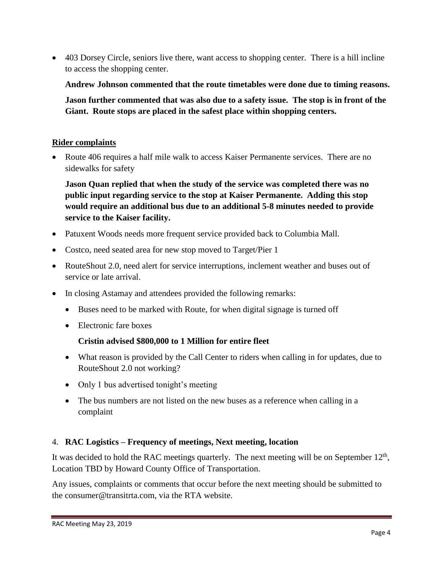• 403 Dorsey Circle, seniors live there, want access to shopping center. There is a hill incline to access the shopping center.

**Andrew Johnson commented that the route timetables were done due to timing reasons.**

**Jason further commented that was also due to a safety issue. The stop is in front of the Giant. Route stops are placed in the safest place within shopping centers.**

## **Rider complaints**

• Route 406 requires a half mile walk to access Kaiser Permanente services. There are no sidewalks for safety

**Jason Quan replied that when the study of the service was completed there was no public input regarding service to the stop at Kaiser Permanente. Adding this stop would require an additional bus due to an additional 5-8 minutes needed to provide service to the Kaiser facility.**

- Patuxent Woods needs more frequent service provided back to Columbia Mall.
- Costco, need seated area for new stop moved to Target/Pier 1
- RouteShout 2.0, need alert for service interruptions, inclement weather and buses out of service or late arrival.
- In closing Astamay and attendees provided the following remarks:
	- Buses need to be marked with Route, for when digital signage is turned off
	- Electronic fare boxes

# **Cristin advised \$800,000 to 1 Million for entire fleet**

- What reason is provided by the Call Center to riders when calling in for updates, due to RouteShout 2.0 not working?
- Only 1 bus advertised tonight's meeting
- The bus numbers are not listed on the new buses as a reference when calling in a complaint

# 4. **RAC Logistics – Frequency of meetings, Next meeting, location**

It was decided to hold the RAC meetings quarterly. The next meeting will be on September  $12<sup>th</sup>$ , Location TBD by Howard County Office of Transportation.

Any issues, complaints or comments that occur before the next meeting should be submitted to the consumer@transitrta.com, via the RTA website.